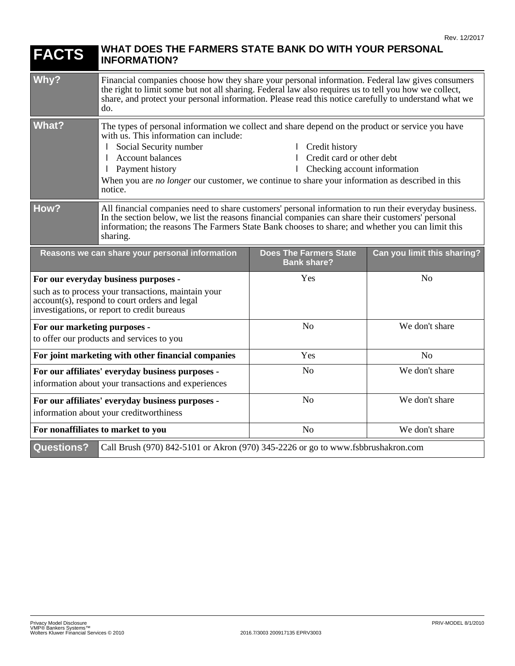| <b>FACTS</b>                                                                                                                                                                                | WHAT DOES THE FARMERS STATE BANK DO WITH YOUR PERSONAL<br><b>INFORMATION?</b>                                                                                                                                                                                                                                                                                                                                |                                                     |                             |
|---------------------------------------------------------------------------------------------------------------------------------------------------------------------------------------------|--------------------------------------------------------------------------------------------------------------------------------------------------------------------------------------------------------------------------------------------------------------------------------------------------------------------------------------------------------------------------------------------------------------|-----------------------------------------------------|-----------------------------|
| Why?                                                                                                                                                                                        | Financial companies choose how they share your personal information. Federal law gives consumers<br>the right to limit some but not all sharing. Federal law also requires us to tell you how we collect,<br>share, and protect your personal information. Please read this notice carefully to understand what we<br>do.                                                                                    |                                                     |                             |
| <b>What?</b>                                                                                                                                                                                | The types of personal information we collect and share depend on the product or service you have<br>with us. This information can include:<br>Social Security number<br>  Credit history<br>Account balances<br>Credit card or other debt<br>1 Payment history<br>Checking account information<br>When you are no longer our customer, we continue to share your information as described in this<br>notice. |                                                     |                             |
| How?                                                                                                                                                                                        | All financial companies need to share customers' personal information to run their everyday business.<br>In the section below, we list the reasons financial companies can share their customers' personal<br>information; the reasons The Farmers State Bank chooses to share; and whether you can limit this<br>sharing.                                                                                   |                                                     |                             |
| Reasons we can share your personal information                                                                                                                                              |                                                                                                                                                                                                                                                                                                                                                                                                              | <b>Does The Farmers State</b><br><b>Bank share?</b> | Can you limit this sharing? |
| For our everyday business purposes -<br>such as to process your transactions, maintain your<br>account(s), respond to court orders and legal<br>investigations, or report to credit bureaus |                                                                                                                                                                                                                                                                                                                                                                                                              | Yes                                                 | N <sub>o</sub>              |
| For our marketing purposes -<br>to offer our products and services to you                                                                                                                   |                                                                                                                                                                                                                                                                                                                                                                                                              | N <sub>o</sub>                                      | We don't share              |
| For joint marketing with other financial companies                                                                                                                                          |                                                                                                                                                                                                                                                                                                                                                                                                              | Yes                                                 | No                          |
| For our affiliates' everyday business purposes -<br>information about your transactions and experiences                                                                                     |                                                                                                                                                                                                                                                                                                                                                                                                              | N <sub>o</sub>                                      | We don't share              |
| For our affiliates' everyday business purposes -<br>information about your creditworthiness                                                                                                 |                                                                                                                                                                                                                                                                                                                                                                                                              | N <sub>o</sub>                                      | We don't share              |
| For nonaffiliates to market to you                                                                                                                                                          |                                                                                                                                                                                                                                                                                                                                                                                                              | N <sub>o</sub>                                      | We don't share              |
| <b>Questions?</b><br>Call Brush (970) 842-5101 or Akron (970) 345-2226 or go to www.fsbbrushakron.com                                                                                       |                                                                                                                                                                                                                                                                                                                                                                                                              |                                                     |                             |